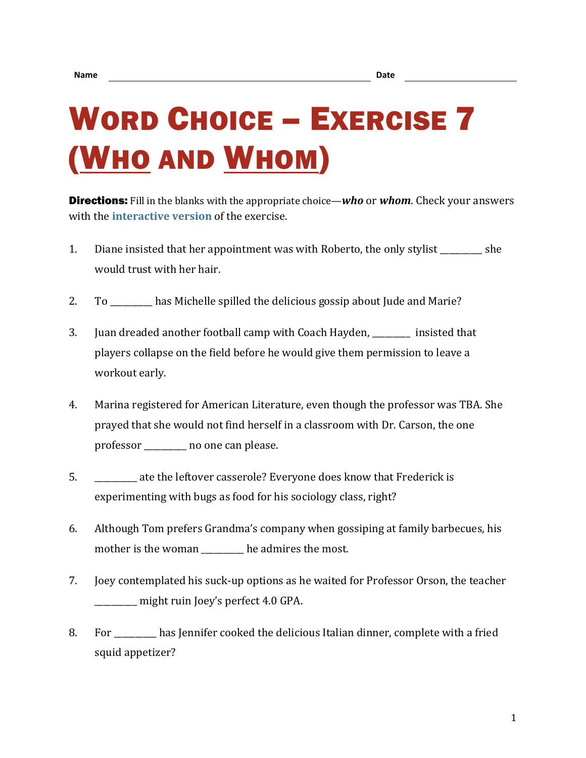## WORD CHOICE – EXERCISE 7 (WHO AND WHOM)

Directions: Fill in the blanks with the appropriate choice—*who* or *whom*. Check your answers with the **[interactive version](https://chompchomp.com/hotpotatoes/wordchoice07.htm)** of the exercise.

- 1. Diane insisted that her appointment was with Roberto, the only stylist she would trust with her hair.
- 2. To \_\_\_\_\_\_\_\_\_\_ has Michelle spilled the delicious gossip about Jude and Marie?
- 3. Juan dreaded another football camp with Coach Hayden, \_\_\_\_\_\_\_\_\_ insisted that players collapse on the field before he would give them permission to leave a workout early.
- 4. Marina registered for American Literature, even though the professor was TBA. She prayed that she would not find herself in a classroom with Dr. Carson, the one professor \_\_\_\_\_\_\_\_\_\_ no one can please.
- 5. \_\_\_\_\_\_\_\_\_\_ ate the leftover casserole? Everyone does know that Frederick is experimenting with bugs as food for his sociology class, right?
- 6. Although Tom prefers Grandma's company when gossiping at family barbecues, his mother is the woman be admires the most.
- 7. Joey contemplated his suck-up options as he waited for Professor Orson, the teacher \_\_\_\_\_\_\_\_\_\_ might ruin Joey's perfect 4.0 GPA.
- 8. For has Jennifer cooked the delicious Italian dinner, complete with a fried squid appetizer?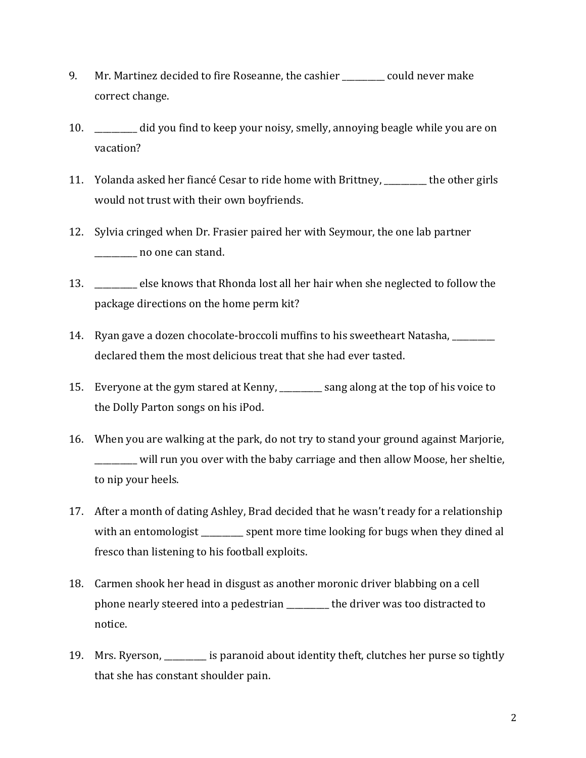- 9. Mr. Martinez decided to fire Roseanne, the cashier could never make correct change.
- 10. \_\_\_\_\_\_\_\_\_\_ did you find to keep your noisy, smelly, annoying beagle while you are on vacation?
- 11. Yolanda asked her fiancé Cesar to ride home with Brittney, \_\_\_\_\_\_\_\_\_\_ the other girls would not trust with their own boyfriends.
- 12. Sylvia cringed when Dr. Frasier paired her with Seymour, the one lab partner \_\_\_\_\_\_\_\_\_\_ no one can stand.
- 13. \_\_\_\_\_\_\_\_\_\_ else knows that Rhonda lost all her hair when she neglected to follow the package directions on the home perm kit?
- 14. Ryan gave a dozen chocolate-broccoli muffins to his sweetheart Natasha, \_\_\_\_\_\_\_\_\_\_ declared them the most delicious treat that she had ever tasted.
- 15. Everyone at the gym stared at Kenny, \_\_\_\_\_\_\_\_\_\_ sang along at the top of his voice to the Dolly Parton songs on his iPod.
- 16. When you are walking at the park, do not try to stand your ground against Marjorie, \_\_\_\_\_\_\_\_\_\_ will run you over with the baby carriage and then allow Moose, her sheltie, to nip your heels.
- 17. After a month of dating Ashley, Brad decided that he wasn't ready for a relationship with an entomologist \_\_\_\_\_\_\_\_\_ spent more time looking for bugs when they dined al fresco than listening to his football exploits.
- 18. Carmen shook her head in disgust as another moronic driver blabbing on a cell phone nearly steered into a pedestrian \_\_\_\_\_\_\_\_\_\_ the driver was too distracted to notice.
- 19. Mrs. Ryerson, \_\_\_\_\_\_\_\_\_\_ is paranoid about identity theft, clutches her purse so tightly that she has constant shoulder pain.